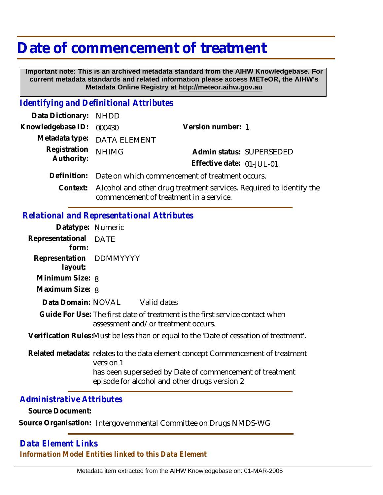# **Date of commencement of treatment**

 **Important note: This is an archived metadata standard from the AIHW Knowledgebase. For current metadata standards and related information please access METeOR, the AIHW's Metadata Online Registry at http://meteor.aihw.gov.au**

#### *Identifying and Definitional Attributes*

| Data Dictionary: NHDD    |                                                                              |                           |                          |
|--------------------------|------------------------------------------------------------------------------|---------------------------|--------------------------|
| Knowledgebase ID: 000430 |                                                                              | Version number: 1         |                          |
|                          | Metadata type: DATA ELEMENT                                                  |                           |                          |
| Registration NHIMG       |                                                                              |                           | Admin status: SUPERSEDED |
| Authority:               |                                                                              | Effective date: 01-JUL-01 |                          |
|                          | Definition: Date on which commencement of treatment occurs.                  |                           |                          |
|                          | Context: Alcohol and other drug treatment services. Required to identify the |                           |                          |

commencement of treatment in a service.

## *Relational and Representational Attributes*

| Datatype: Numeric                  |                                                                                                                     |
|------------------------------------|---------------------------------------------------------------------------------------------------------------------|
| Representational<br>form:          | <b>DATE</b>                                                                                                         |
| Representation DDMMYYYY<br>layout: |                                                                                                                     |
| Minimum Size: 8                    |                                                                                                                     |
| Maximum Size: 8                    |                                                                                                                     |
|                                    | Data Domain: NOVAL Valid dates                                                                                      |
|                                    | Guide For Use: The first date of treatment is the first service contact when<br>assessment and/or treatment occurs. |
|                                    | Verification Rules: Must be less than or equal to the 'Date of cessation of treatment'.                             |
|                                    | Related metadata: relates to the data element concept Commencement of treatment<br>version 1                        |
|                                    | has been superseded by Date of commencement of treatment                                                            |

episode for alcohol and other drugs version 2

### *Administrative Attributes*

**Source Document:**

**Source Organisation:** Intergovernmental Committee on Drugs NMDS-WG

### *Data Element Links Information Model Entities linked to this Data Element*